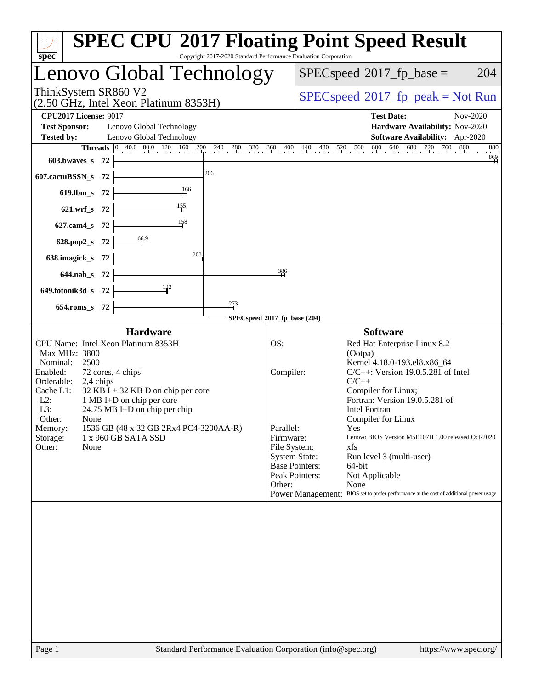| spec                                                                                                                                                                                                                                                                                                                                                                                                 |                                                      | Copyright 2017-2020 Standard Performance Evaluation Corporation                                                                                                                                                                                                                                                                                                                                                                                                                                                                                     |  |  |
|------------------------------------------------------------------------------------------------------------------------------------------------------------------------------------------------------------------------------------------------------------------------------------------------------------------------------------------------------------------------------------------------------|------------------------------------------------------|-----------------------------------------------------------------------------------------------------------------------------------------------------------------------------------------------------------------------------------------------------------------------------------------------------------------------------------------------------------------------------------------------------------------------------------------------------------------------------------------------------------------------------------------------------|--|--|
| Lenovo Global Technology                                                                                                                                                                                                                                                                                                                                                                             |                                                      | $SPEC speed^{\circ}2017\_fp\_base =$<br>204                                                                                                                                                                                                                                                                                                                                                                                                                                                                                                         |  |  |
| ThinkSystem SR860 V2<br>(2.50 GHz, Intel Xeon Platinum 8353H)                                                                                                                                                                                                                                                                                                                                        | $SPEC speed^{\circ}2017\_fp\_peak = Not Run$         |                                                                                                                                                                                                                                                                                                                                                                                                                                                                                                                                                     |  |  |
| <b>CPU2017 License: 9017</b>                                                                                                                                                                                                                                                                                                                                                                         |                                                      | <b>Test Date:</b><br>Nov-2020                                                                                                                                                                                                                                                                                                                                                                                                                                                                                                                       |  |  |
| <b>Test Sponsor:</b><br>Lenovo Global Technology                                                                                                                                                                                                                                                                                                                                                     |                                                      | Hardware Availability: Nov-2020                                                                                                                                                                                                                                                                                                                                                                                                                                                                                                                     |  |  |
| <b>Tested by:</b><br>Lenovo Global Technology                                                                                                                                                                                                                                                                                                                                                        |                                                      | Software Availability: Apr-2020                                                                                                                                                                                                                                                                                                                                                                                                                                                                                                                     |  |  |
| 603.bwaves_s 72                                                                                                                                                                                                                                                                                                                                                                                      |                                                      | <b>Threads</b> 0 40.0 80.0 120 160 200 240 280 320 360 400 440 480 520 560 600 640 680 720 760 800<br>880<br>$\frac{869}{1}$                                                                                                                                                                                                                                                                                                                                                                                                                        |  |  |
| 206<br>607.cactuBSSN_s 72                                                                                                                                                                                                                                                                                                                                                                            |                                                      |                                                                                                                                                                                                                                                                                                                                                                                                                                                                                                                                                     |  |  |
| $+166$<br>619.lbm_s $72$                                                                                                                                                                                                                                                                                                                                                                             |                                                      |                                                                                                                                                                                                                                                                                                                                                                                                                                                                                                                                                     |  |  |
| 621.wrf_s $72$                                                                                                                                                                                                                                                                                                                                                                                       |                                                      |                                                                                                                                                                                                                                                                                                                                                                                                                                                                                                                                                     |  |  |
| $\frac{158}{1}$<br>627.cam4_s 72                                                                                                                                                                                                                                                                                                                                                                     |                                                      |                                                                                                                                                                                                                                                                                                                                                                                                                                                                                                                                                     |  |  |
| 628.pop2_s 72 $\frac{66.9}{ }$                                                                                                                                                                                                                                                                                                                                                                       |                                                      |                                                                                                                                                                                                                                                                                                                                                                                                                                                                                                                                                     |  |  |
| 638.imagick_s $72$                                                                                                                                                                                                                                                                                                                                                                                   |                                                      |                                                                                                                                                                                                                                                                                                                                                                                                                                                                                                                                                     |  |  |
| $644.nab_s$ 72 $\frac{ }{ }$                                                                                                                                                                                                                                                                                                                                                                         | 386                                                  |                                                                                                                                                                                                                                                                                                                                                                                                                                                                                                                                                     |  |  |
| 649.fotonik3d_s 72 $\frac{122}{1}$                                                                                                                                                                                                                                                                                                                                                                   |                                                      |                                                                                                                                                                                                                                                                                                                                                                                                                                                                                                                                                     |  |  |
| 273<br>654.roms_s 72                                                                                                                                                                                                                                                                                                                                                                                 |                                                      |                                                                                                                                                                                                                                                                                                                                                                                                                                                                                                                                                     |  |  |
| SPECspeed®2017_fp_base (204)                                                                                                                                                                                                                                                                                                                                                                         |                                                      |                                                                                                                                                                                                                                                                                                                                                                                                                                                                                                                                                     |  |  |
| Hardware                                                                                                                                                                                                                                                                                                                                                                                             |                                                      | <b>Software</b>                                                                                                                                                                                                                                                                                                                                                                                                                                                                                                                                     |  |  |
| CPU Name: Intel Xeon Platinum 8353H<br>Max MHz: 3800<br>Nominal:<br>2500<br>Enabled:<br>72 cores, 4 chips<br>Orderable:<br>2,4 chips<br>Cache L1:<br>$32$ KB I + 32 KB D on chip per core<br>$L2$ :<br>1 MB I+D on chip per core<br>L3:<br>24.75 MB I+D on chip per chip<br>Other:<br>None<br>1536 GB (48 x 32 GB 2Rx4 PC4-3200AA-R)<br>Memory:<br>Storage:<br>1 x 960 GB SATA SSD<br>Other:<br>None | OS:<br>Compiler:<br>Parallel:<br>Firmware:<br>Other: | Red Hat Enterprise Linux 8.2<br>(Ootpa)<br>Kernel 4.18.0-193.el8.x86_64<br>$C/C++$ : Version 19.0.5.281 of Intel<br>$C/C++$<br>Compiler for Linux;<br>Fortran: Version 19.0.5.281 of<br><b>Intel Fortran</b><br>Compiler for Linux<br>Yes<br>Lenovo BIOS Version M5E107H 1.00 released Oct-2020<br>File System:<br>xfs<br><b>System State:</b><br>Run level 3 (multi-user)<br><b>Base Pointers:</b><br>64-bit<br>Peak Pointers:<br>Not Applicable<br>None<br>Power Management: BIOS set to prefer performance at the cost of additional power usage |  |  |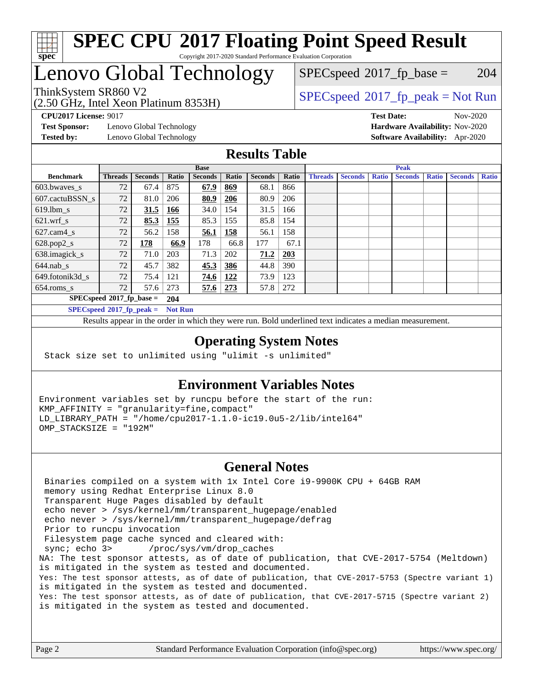

## Lenovo Global Technology

(2.50 GHz, Intel Xeon Platinum 8353H)

 $SPECspeed^{\circledcirc}2017_fp\_base = 204$  $SPECspeed^{\circledcirc}2017_fp\_base = 204$ 

## ThinkSystem SR860 V2<br>  $\begin{array}{c} \text{SPEC speed} \text{?}2017 \text{ fp\_peak} = \text{Not Run} \end{array}$

**[CPU2017 License:](http://www.spec.org/auto/cpu2017/Docs/result-fields.html#CPU2017License)** 9017 **[Test Date:](http://www.spec.org/auto/cpu2017/Docs/result-fields.html#TestDate)** Nov-2020

**[Test Sponsor:](http://www.spec.org/auto/cpu2017/Docs/result-fields.html#TestSponsor)** Lenovo Global Technology **[Hardware Availability:](http://www.spec.org/auto/cpu2017/Docs/result-fields.html#HardwareAvailability)** Nov-2020 **[Tested by:](http://www.spec.org/auto/cpu2017/Docs/result-fields.html#Testedby)** Lenovo Global Technology **[Software Availability:](http://www.spec.org/auto/cpu2017/Docs/result-fields.html#SoftwareAvailability)** Apr-2020

#### **[Results Table](http://www.spec.org/auto/cpu2017/Docs/result-fields.html#ResultsTable)**

|                             | <b>Base</b>    |                |                |                |       | <b>Peak</b>    |            |                |                |              |                |              |                |              |
|-----------------------------|----------------|----------------|----------------|----------------|-------|----------------|------------|----------------|----------------|--------------|----------------|--------------|----------------|--------------|
| <b>Benchmark</b>            | <b>Threads</b> | <b>Seconds</b> | Ratio          | <b>Seconds</b> | Ratio | <b>Seconds</b> | Ratio      | <b>Threads</b> | <b>Seconds</b> | <b>Ratio</b> | <b>Seconds</b> | <b>Ratio</b> | <b>Seconds</b> | <b>Ratio</b> |
| $603.bwaves$ s              | 72             | 67.4           | 875            | 67.9           | 869   | 68.1           | 866        |                |                |              |                |              |                |              |
| 607.cactuBSSN s             | 72             | 81.0           | 206            | 80.9           | 206   | 80.9           | 206        |                |                |              |                |              |                |              |
| $619.$ lbm_s                | 72             | 31.5           | 166            | 34.0           | 154   | 31.5           | 166        |                |                |              |                |              |                |              |
| $621.wrf$ s                 | 72             | 85.3           | 155            | 85.3           | 155   | 85.8           | 154        |                |                |              |                |              |                |              |
| $627$ .cam4 s               | 72             | 56.2           | 158            | 56.1           | 158   | 56.1           | 158        |                |                |              |                |              |                |              |
| $628.pop2_s$                | 72             | 178            | 66.9           | 178            | 66.8  | 177            | 67.1       |                |                |              |                |              |                |              |
| 638.imagick_s               | 72             | 71.0           | 203            | 71.3           | 202   | 71.2           | <b>203</b> |                |                |              |                |              |                |              |
| $644$ .nab s                | 72             | 45.7           | 382            | 45.3           | 386   | 44.8           | 390        |                |                |              |                |              |                |              |
| 649.fotonik3d s             | 72             | 75.4           | 121            | 74.6           | 122   | 73.9           | 123        |                |                |              |                |              |                |              |
| $654$ .roms s               | 72             | 57.6           | 273            | 57.6           | 273   | 57.8           | 272        |                |                |              |                |              |                |              |
| $SPECspeed*2017_fp\_base =$ |                |                | 204            |                |       |                |            |                |                |              |                |              |                |              |
| $SPECspeed*2017_fp\_peak =$ |                |                | <b>Not Run</b> |                |       |                |            |                |                |              |                |              |                |              |

Results appear in the [order in which they were run.](http://www.spec.org/auto/cpu2017/Docs/result-fields.html#RunOrder) Bold underlined text [indicates a median measurement](http://www.spec.org/auto/cpu2017/Docs/result-fields.html#Median).

#### **[Operating System Notes](http://www.spec.org/auto/cpu2017/Docs/result-fields.html#OperatingSystemNotes)**

Stack size set to unlimited using "ulimit -s unlimited"

#### **[Environment Variables Notes](http://www.spec.org/auto/cpu2017/Docs/result-fields.html#EnvironmentVariablesNotes)**

Environment variables set by runcpu before the start of the run: KMP\_AFFINITY = "granularity=fine,compact" LD\_LIBRARY\_PATH = "/home/cpu2017-1.1.0-ic19.0u5-2/lib/intel64" OMP\_STACKSIZE = "192M"

#### **[General Notes](http://www.spec.org/auto/cpu2017/Docs/result-fields.html#GeneralNotes)**

 Binaries compiled on a system with 1x Intel Core i9-9900K CPU + 64GB RAM memory using Redhat Enterprise Linux 8.0 Transparent Huge Pages disabled by default echo never > /sys/kernel/mm/transparent\_hugepage/enabled echo never > /sys/kernel/mm/transparent\_hugepage/defrag Prior to runcpu invocation Filesystem page cache synced and cleared with: sync; echo 3> /proc/sys/vm/drop\_caches NA: The test sponsor attests, as of date of publication, that CVE-2017-5754 (Meltdown) is mitigated in the system as tested and documented. Yes: The test sponsor attests, as of date of publication, that CVE-2017-5753 (Spectre variant 1) is mitigated in the system as tested and documented. Yes: The test sponsor attests, as of date of publication, that CVE-2017-5715 (Spectre variant 2) is mitigated in the system as tested and documented.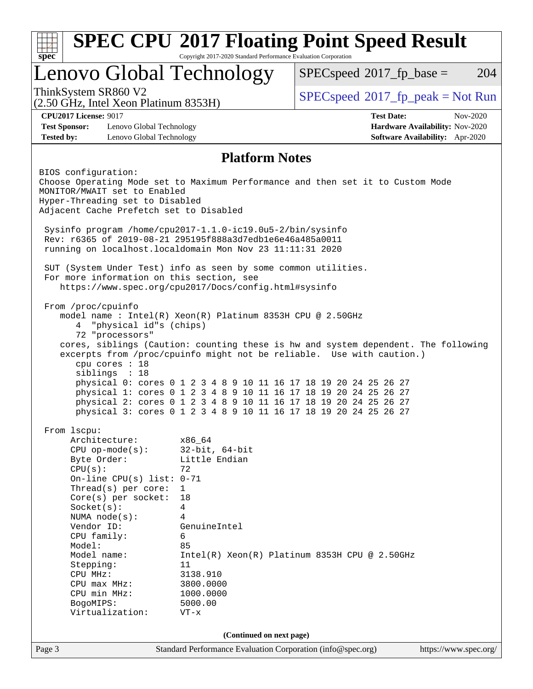| Lenovo Global Technology<br>ThinkSystem SR860 V2<br>$(2.50 \text{ GHz}, \text{Intel Xeon Platinum } 8353\text{H})$<br><b>CPU2017 License: 9017</b><br><b>Test Sponsor:</b><br>Lenovo Global Technology<br><b>Tested by:</b><br>Lenovo Global Technology                                                                                                                                                                                                                                                                                                                                                              | $SPEC speed^{\circ}2017$ _fp_base =<br>204<br>$SPEC speed^{\circ}2017\_fp\_peak = Not Run$<br><b>Test Date:</b><br>Nov-2020 |
|----------------------------------------------------------------------------------------------------------------------------------------------------------------------------------------------------------------------------------------------------------------------------------------------------------------------------------------------------------------------------------------------------------------------------------------------------------------------------------------------------------------------------------------------------------------------------------------------------------------------|-----------------------------------------------------------------------------------------------------------------------------|
|                                                                                                                                                                                                                                                                                                                                                                                                                                                                                                                                                                                                                      |                                                                                                                             |
|                                                                                                                                                                                                                                                                                                                                                                                                                                                                                                                                                                                                                      |                                                                                                                             |
|                                                                                                                                                                                                                                                                                                                                                                                                                                                                                                                                                                                                                      | Hardware Availability: Nov-2020<br>Software Availability: Apr-2020                                                          |
| <b>Platform Notes</b>                                                                                                                                                                                                                                                                                                                                                                                                                                                                                                                                                                                                |                                                                                                                             |
| BIOS configuration:<br>Choose Operating Mode set to Maximum Performance and then set it to Custom Mode<br>MONITOR/MWAIT set to Enabled<br>Hyper-Threading set to Disabled<br>Adjacent Cache Prefetch set to Disabled<br>Sysinfo program /home/cpu2017-1.1.0-ic19.0u5-2/bin/sysinfo<br>Rev: r6365 of 2019-08-21 295195f888a3d7edble6e46a485a0011                                                                                                                                                                                                                                                                      |                                                                                                                             |
| running on localhost.localdomain Mon Nov 23 11:11:31 2020<br>SUT (System Under Test) info as seen by some common utilities.<br>For more information on this section, see<br>https://www.spec.org/cpu2017/Docs/config.html#sysinfo                                                                                                                                                                                                                                                                                                                                                                                    |                                                                                                                             |
| From /proc/cpuinfo<br>model name : Intel(R) Xeon(R) Platinum 8353H CPU @ 2.50GHz<br>"physical id"s (chips)<br>4<br>72 "processors"<br>cores, siblings (Caution: counting these is hw and system dependent. The following<br>excerpts from /proc/cpuinfo might not be reliable. Use with caution.)<br>cpu cores : 18<br>siblings : 18<br>physical 0: cores 0 1 2 3 4 8 9 10 11 16 17 18 19 20 24 25 26 27<br>physical 1: cores 0 1 2 3 4 8 9 10 11 16 17 18 19 20 24 25 26 27<br>physical 2: cores 0 1 2 3 4 8 9 10 11 16 17 18 19 20 24 25 26 27<br>physical 3: cores 0 1 2 3 4 8 9 10 11 16 17 18 19 20 24 25 26 27 |                                                                                                                             |
| From 1scpu:<br>Architecture:<br>x86_64<br>$32$ -bit, $64$ -bit<br>$CPU$ op-mode( $s$ ):<br>Byte Order:<br>Little Endian<br>CPU(s):<br>72<br>On-line CPU(s) list: $0-71$<br>Thread( $s$ ) per core:<br>$\mathbf{1}$<br>$Core(s)$ per socket:<br>18<br>Socket(s):<br>4<br>NUMA $node(s):$<br>4<br>Vendor ID:<br>GenuineIntel<br>CPU family:<br>6<br>85<br>Model:<br>Model name:<br>Stepping:<br>11<br>CPU MHz:<br>3138.910                                                                                                                                                                                             | $Intel(R) Xeon(R) Platinum 8353H CPU @ 2.50GHz$                                                                             |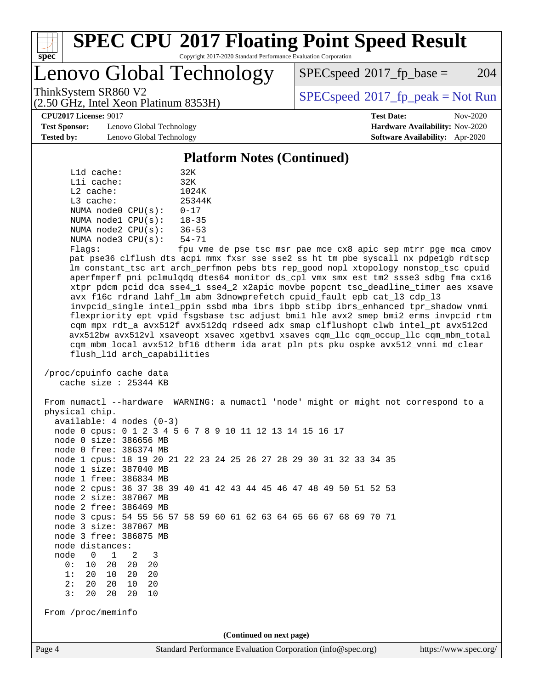

## Lenovo Global Technology

 $SPEC speed^{\circ}2017\_fp\_base = 204$ 

(2.50 GHz, Intel Xeon Platinum 8353H)

ThinkSystem SR860 V2<br>  $\begin{array}{c} \text{SPEC speed} \text{?}2017 \text{ fp\_peak} = \text{Not Run} \end{array}$ 

**[CPU2017 License:](http://www.spec.org/auto/cpu2017/Docs/result-fields.html#CPU2017License)** 9017 **[Test Date:](http://www.spec.org/auto/cpu2017/Docs/result-fields.html#TestDate)** Nov-2020

**[Test Sponsor:](http://www.spec.org/auto/cpu2017/Docs/result-fields.html#TestSponsor)** Lenovo Global Technology **[Hardware Availability:](http://www.spec.org/auto/cpu2017/Docs/result-fields.html#HardwareAvailability)** Nov-2020 **[Tested by:](http://www.spec.org/auto/cpu2017/Docs/result-fields.html#Testedby)** Lenovo Global Technology **[Software Availability:](http://www.spec.org/auto/cpu2017/Docs/result-fields.html#SoftwareAvailability)** Apr-2020

#### **[Platform Notes \(Continued\)](http://www.spec.org/auto/cpu2017/Docs/result-fields.html#PlatformNotes)**

|             | L1d cache: |                         | 32K       |
|-------------|------------|-------------------------|-----------|
|             | Lli cache: |                         | 32K       |
| $L2$ cache: |            |                         | 1024K     |
| L3 cache:   |            |                         | 25344K    |
|             |            | NUMA $node0$ $CPU(s)$ : | $0 - 17$  |
|             |            | NUMA nodel CPU(s):      | $18 - 35$ |
|             |            | NUMA $node2$ $CPU(s)$ : | $36 - 53$ |
|             |            | NUMA $node3$ $CPU(s)$ : | $54 - 71$ |
| --          |            |                         | $\sim$    |

Flags: fpu vme de pse tsc msr pae mce cx8 apic sep mtrr pge mca cmov pat pse36 clflush dts acpi mmx fxsr sse sse2 ss ht tm pbe syscall nx pdpe1gb rdtscp lm constant\_tsc art arch\_perfmon pebs bts rep\_good nopl xtopology nonstop\_tsc cpuid aperfmperf pni pclmulqdq dtes64 monitor ds\_cpl vmx smx est tm2 ssse3 sdbg fma cx16 xtpr pdcm pcid dca sse4\_1 sse4\_2 x2apic movbe popcnt tsc\_deadline\_timer aes xsave avx f16c rdrand lahf\_lm abm 3dnowprefetch cpuid\_fault epb cat\_l3 cdp\_l3 invpcid\_single intel\_ppin ssbd mba ibrs ibpb stibp ibrs\_enhanced tpr\_shadow vnmi flexpriority ept vpid fsgsbase tsc\_adjust bmi1 hle avx2 smep bmi2 erms invpcid rtm cqm mpx rdt\_a avx512f avx512dq rdseed adx smap clflushopt clwb intel\_pt avx512cd avx512bw avx512vl xsaveopt xsavec xgetbv1 xsaves cqm\_llc cqm\_occup\_llc cqm\_mbm\_total cqm\_mbm\_local avx512\_bf16 dtherm ida arat pln pts pku ospke avx512\_vnni md\_clear flush\_l1d arch\_capabilities

 /proc/cpuinfo cache data cache size : 25344 KB

Page 4 Standard Performance Evaluation Corporation [\(info@spec.org\)](mailto:info@spec.org) <https://www.spec.org/> From numactl --hardware WARNING: a numactl 'node' might or might not correspond to a physical chip. available: 4 nodes (0-3) node 0 cpus: 0 1 2 3 4 5 6 7 8 9 10 11 12 13 14 15 16 17 node 0 size: 386656 MB node 0 free: 386374 MB node 1 cpus: 18 19 20 21 22 23 24 25 26 27 28 29 30 31 32 33 34 35 node 1 size: 387040 MB node 1 free: 386834 MB node 2 cpus: 36 37 38 39 40 41 42 43 44 45 46 47 48 49 50 51 52 53 node 2 size: 387067 MB node 2 free: 386469 MB node 3 cpus: 54 55 56 57 58 59 60 61 62 63 64 65 66 67 68 69 70 71 node 3 size: 387067 MB node 3 free: 386875 MB node distances: node 0 1 2 3 0: 10 20 20 20 1: 20 10 20 20 2: 20 20 10 20 3: 20 20 20 10 From /proc/meminfo **(Continued on next page)**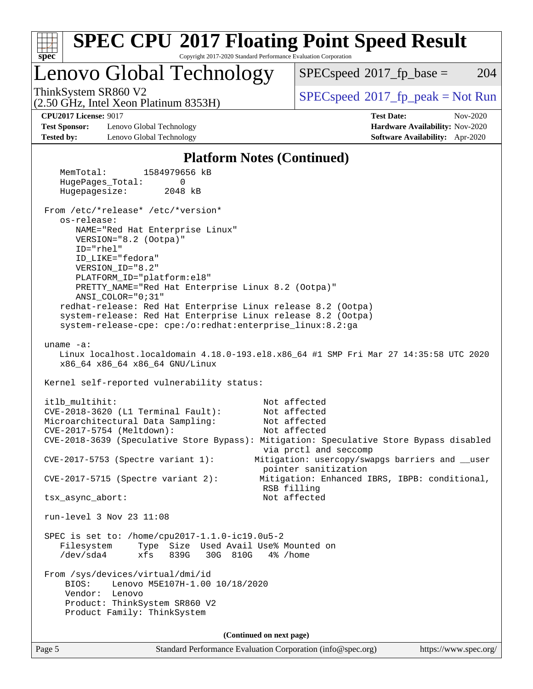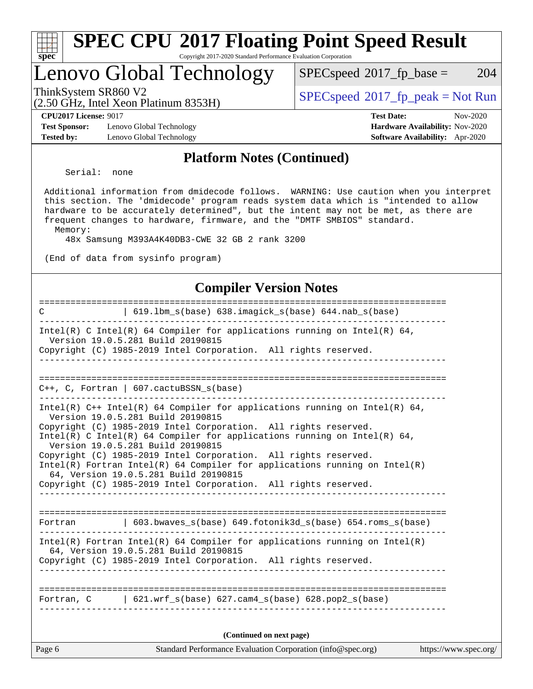| Sì<br>эe<br>C. |  |  |  |  |  |
|----------------|--|--|--|--|--|

## Lenovo Global Technology

 $SPECspeed^{\circledcirc}2017_fp\_base = 204$  $SPECspeed^{\circledcirc}2017_fp\_base = 204$ 

(2.50 GHz, Intel Xeon Platinum 8353H)

ThinkSystem SR860 V2<br>  $\begin{array}{c} \text{SPEC speed} \text{?}2017 \text{ fp\_peak} = \text{Not Run} \end{array}$ 

**[Test Sponsor:](http://www.spec.org/auto/cpu2017/Docs/result-fields.html#TestSponsor)** Lenovo Global Technology **[Hardware Availability:](http://www.spec.org/auto/cpu2017/Docs/result-fields.html#HardwareAvailability)** Nov-2020 **[Tested by:](http://www.spec.org/auto/cpu2017/Docs/result-fields.html#Testedby)** Lenovo Global Technology **[Software Availability:](http://www.spec.org/auto/cpu2017/Docs/result-fields.html#SoftwareAvailability)** Apr-2020

**[CPU2017 License:](http://www.spec.org/auto/cpu2017/Docs/result-fields.html#CPU2017License)** 9017 **[Test Date:](http://www.spec.org/auto/cpu2017/Docs/result-fields.html#TestDate)** Nov-2020

#### **[Platform Notes \(Continued\)](http://www.spec.org/auto/cpu2017/Docs/result-fields.html#PlatformNotes)**

Serial: none

 Additional information from dmidecode follows. WARNING: Use caution when you interpret this section. The 'dmidecode' program reads system data which is "intended to allow hardware to be accurately determined", but the intent may not be met, as there are frequent changes to hardware, firmware, and the "DMTF SMBIOS" standard. Memory:

48x Samsung M393A4K40DB3-CWE 32 GB 2 rank 3200

(End of data from sysinfo program)

#### **[Compiler Version Notes](http://www.spec.org/auto/cpu2017/Docs/result-fields.html#CompilerVersionNotes)**

| Page 6      | Standard Performance Evaluation Corporation (info@spec.org)                                                                                                                              | https://www.spec.org/ |
|-------------|------------------------------------------------------------------------------------------------------------------------------------------------------------------------------------------|-----------------------|
|             | (Continued on next page)                                                                                                                                                                 |                       |
|             | Fortran, $C = \begin{bmatrix} 621. wrf_s(base) & 627. cam4_s(base) & 628. pop2_s(base) \end{bmatrix}$                                                                                    |                       |
|             |                                                                                                                                                                                          |                       |
|             | $Intel(R)$ Fortran Intel(R) 64 Compiler for applications running on Intel(R)<br>64, Version 19.0.5.281 Build 20190815<br>Copyright (C) 1985-2019 Intel Corporation. All rights reserved. |                       |
|             | Fortran   603.bwaves_s(base) 649.fotonik3d_s(base) 654.roms_s(base)                                                                                                                      |                       |
|             |                                                                                                                                                                                          |                       |
|             | $Intel(R)$ Fortran Intel(R) 64 Compiler for applications running on Intel(R)<br>64, Version 19.0.5.281 Build 20190815<br>Copyright (C) 1985-2019 Intel Corporation. All rights reserved. |                       |
|             | Copyright (C) 1985-2019 Intel Corporation. All rights reserved.                                                                                                                          |                       |
|             | Intel(R) C Intel(R) 64 Compiler for applications running on Intel(R) 64,<br>Version 19.0.5.281 Build 20190815                                                                            |                       |
|             | Version 19.0.5.281 Build 20190815<br>Copyright (C) 1985-2019 Intel Corporation. All rights reserved.                                                                                     |                       |
|             | Intel(R) $C++$ Intel(R) 64 Compiler for applications running on Intel(R) 64,                                                                                                             |                       |
|             | $C++$ , C, Fortran   607.cactuBSSN_s(base)<br>______________________________                                                                                                             |                       |
|             |                                                                                                                                                                                          |                       |
|             | Copyright (C) 1985-2019 Intel Corporation. All rights reserved.<br>__________                                                                                                            |                       |
|             | Intel(R) C Intel(R) 64 Compiler for applications running on Intel(R) 64,<br>Version 19.0.5.281 Build 20190815                                                                            |                       |
| $\mathbf C$ | 619.1bm_s(base) 638.imagick_s(base) 644.nab_s(base)                                                                                                                                      |                       |
|             |                                                                                                                                                                                          |                       |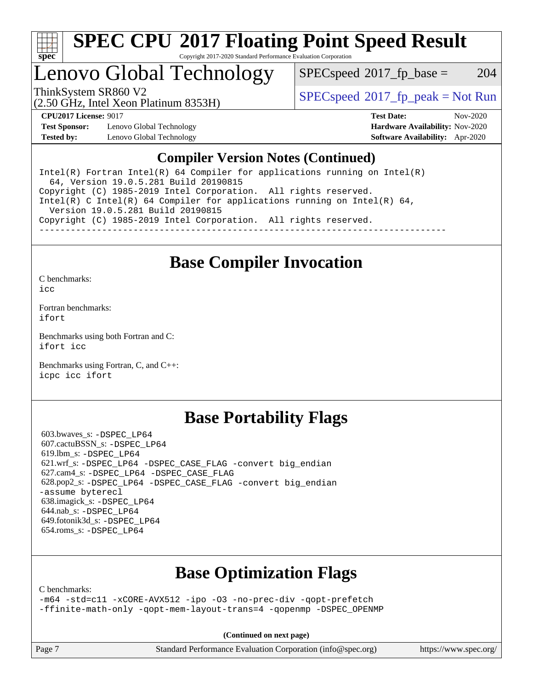

## Lenovo Global Technology

 $SPEC speed^{\circ}2017\_fp\_base = 204$ 

(2.50 GHz, Intel Xeon Platinum 8353H)

ThinkSystem SR860 V2  $\begin{array}{c} \text{SPEC speed} \textdegree 2017 \text{ fp\_peak} = \text{Not Run} \end{array}$ 

**[Test Sponsor:](http://www.spec.org/auto/cpu2017/Docs/result-fields.html#TestSponsor)** Lenovo Global Technology **[Hardware Availability:](http://www.spec.org/auto/cpu2017/Docs/result-fields.html#HardwareAvailability)** Nov-2020 **[Tested by:](http://www.spec.org/auto/cpu2017/Docs/result-fields.html#Testedby)** Lenovo Global Technology **[Software Availability:](http://www.spec.org/auto/cpu2017/Docs/result-fields.html#SoftwareAvailability)** Apr-2020

**[CPU2017 License:](http://www.spec.org/auto/cpu2017/Docs/result-fields.html#CPU2017License)** 9017 **[Test Date:](http://www.spec.org/auto/cpu2017/Docs/result-fields.html#TestDate)** Nov-2020

### **[Compiler Version Notes \(Continued\)](http://www.spec.org/auto/cpu2017/Docs/result-fields.html#CompilerVersionNotes)**

Intel(R) Fortran Intel(R)  $64$  Compiler for applications running on Intel(R) 64, Version 19.0.5.281 Build 20190815 Copyright (C) 1985-2019 Intel Corporation. All rights reserved. Intel(R) C Intel(R) 64 Compiler for applications running on Intel(R) 64, Version 19.0.5.281 Build 20190815 Copyright (C) 1985-2019 Intel Corporation. All rights reserved. ------------------------------------------------------------------------------

## **[Base Compiler Invocation](http://www.spec.org/auto/cpu2017/Docs/result-fields.html#BaseCompilerInvocation)**

[C benchmarks](http://www.spec.org/auto/cpu2017/Docs/result-fields.html#Cbenchmarks):

[icc](http://www.spec.org/cpu2017/results/res2020q4/cpu2017-20201207-24528.flags.html#user_CCbase_intel_icc_66fc1ee009f7361af1fbd72ca7dcefbb700085f36577c54f309893dd4ec40d12360134090235512931783d35fd58c0460139e722d5067c5574d8eaf2b3e37e92)

[Fortran benchmarks](http://www.spec.org/auto/cpu2017/Docs/result-fields.html#Fortranbenchmarks): [ifort](http://www.spec.org/cpu2017/results/res2020q4/cpu2017-20201207-24528.flags.html#user_FCbase_intel_ifort_8111460550e3ca792625aed983ce982f94888b8b503583aa7ba2b8303487b4d8a21a13e7191a45c5fd58ff318f48f9492884d4413fa793fd88dd292cad7027ca)

[Benchmarks using both Fortran and C](http://www.spec.org/auto/cpu2017/Docs/result-fields.html#BenchmarksusingbothFortranandC): [ifort](http://www.spec.org/cpu2017/results/res2020q4/cpu2017-20201207-24528.flags.html#user_CC_FCbase_intel_ifort_8111460550e3ca792625aed983ce982f94888b8b503583aa7ba2b8303487b4d8a21a13e7191a45c5fd58ff318f48f9492884d4413fa793fd88dd292cad7027ca) [icc](http://www.spec.org/cpu2017/results/res2020q4/cpu2017-20201207-24528.flags.html#user_CC_FCbase_intel_icc_66fc1ee009f7361af1fbd72ca7dcefbb700085f36577c54f309893dd4ec40d12360134090235512931783d35fd58c0460139e722d5067c5574d8eaf2b3e37e92)

[Benchmarks using Fortran, C, and C++:](http://www.spec.org/auto/cpu2017/Docs/result-fields.html#BenchmarksusingFortranCandCXX) [icpc](http://www.spec.org/cpu2017/results/res2020q4/cpu2017-20201207-24528.flags.html#user_CC_CXX_FCbase_intel_icpc_c510b6838c7f56d33e37e94d029a35b4a7bccf4766a728ee175e80a419847e808290a9b78be685c44ab727ea267ec2f070ec5dc83b407c0218cded6866a35d07) [icc](http://www.spec.org/cpu2017/results/res2020q4/cpu2017-20201207-24528.flags.html#user_CC_CXX_FCbase_intel_icc_66fc1ee009f7361af1fbd72ca7dcefbb700085f36577c54f309893dd4ec40d12360134090235512931783d35fd58c0460139e722d5067c5574d8eaf2b3e37e92) [ifort](http://www.spec.org/cpu2017/results/res2020q4/cpu2017-20201207-24528.flags.html#user_CC_CXX_FCbase_intel_ifort_8111460550e3ca792625aed983ce982f94888b8b503583aa7ba2b8303487b4d8a21a13e7191a45c5fd58ff318f48f9492884d4413fa793fd88dd292cad7027ca)

## **[Base Portability Flags](http://www.spec.org/auto/cpu2017/Docs/result-fields.html#BasePortabilityFlags)**

 603.bwaves\_s: [-DSPEC\\_LP64](http://www.spec.org/cpu2017/results/res2020q4/cpu2017-20201207-24528.flags.html#suite_basePORTABILITY603_bwaves_s_DSPEC_LP64) 607.cactuBSSN\_s: [-DSPEC\\_LP64](http://www.spec.org/cpu2017/results/res2020q4/cpu2017-20201207-24528.flags.html#suite_basePORTABILITY607_cactuBSSN_s_DSPEC_LP64) 619.lbm\_s: [-DSPEC\\_LP64](http://www.spec.org/cpu2017/results/res2020q4/cpu2017-20201207-24528.flags.html#suite_basePORTABILITY619_lbm_s_DSPEC_LP64) 621.wrf\_s: [-DSPEC\\_LP64](http://www.spec.org/cpu2017/results/res2020q4/cpu2017-20201207-24528.flags.html#suite_basePORTABILITY621_wrf_s_DSPEC_LP64) [-DSPEC\\_CASE\\_FLAG](http://www.spec.org/cpu2017/results/res2020q4/cpu2017-20201207-24528.flags.html#b621.wrf_s_baseCPORTABILITY_DSPEC_CASE_FLAG) [-convert big\\_endian](http://www.spec.org/cpu2017/results/res2020q4/cpu2017-20201207-24528.flags.html#user_baseFPORTABILITY621_wrf_s_convert_big_endian_c3194028bc08c63ac5d04de18c48ce6d347e4e562e8892b8bdbdc0214820426deb8554edfa529a3fb25a586e65a3d812c835984020483e7e73212c4d31a38223) 627.cam4\_s: [-DSPEC\\_LP64](http://www.spec.org/cpu2017/results/res2020q4/cpu2017-20201207-24528.flags.html#suite_basePORTABILITY627_cam4_s_DSPEC_LP64) [-DSPEC\\_CASE\\_FLAG](http://www.spec.org/cpu2017/results/res2020q4/cpu2017-20201207-24528.flags.html#b627.cam4_s_baseCPORTABILITY_DSPEC_CASE_FLAG) 628.pop2\_s: [-DSPEC\\_LP64](http://www.spec.org/cpu2017/results/res2020q4/cpu2017-20201207-24528.flags.html#suite_basePORTABILITY628_pop2_s_DSPEC_LP64) [-DSPEC\\_CASE\\_FLAG](http://www.spec.org/cpu2017/results/res2020q4/cpu2017-20201207-24528.flags.html#b628.pop2_s_baseCPORTABILITY_DSPEC_CASE_FLAG) [-convert big\\_endian](http://www.spec.org/cpu2017/results/res2020q4/cpu2017-20201207-24528.flags.html#user_baseFPORTABILITY628_pop2_s_convert_big_endian_c3194028bc08c63ac5d04de18c48ce6d347e4e562e8892b8bdbdc0214820426deb8554edfa529a3fb25a586e65a3d812c835984020483e7e73212c4d31a38223) [-assume byterecl](http://www.spec.org/cpu2017/results/res2020q4/cpu2017-20201207-24528.flags.html#user_baseFPORTABILITY628_pop2_s_assume_byterecl_7e47d18b9513cf18525430bbf0f2177aa9bf368bc7a059c09b2c06a34b53bd3447c950d3f8d6c70e3faf3a05c8557d66a5798b567902e8849adc142926523472) 638.imagick\_s: [-DSPEC\\_LP64](http://www.spec.org/cpu2017/results/res2020q4/cpu2017-20201207-24528.flags.html#suite_basePORTABILITY638_imagick_s_DSPEC_LP64) 644.nab\_s: [-DSPEC\\_LP64](http://www.spec.org/cpu2017/results/res2020q4/cpu2017-20201207-24528.flags.html#suite_basePORTABILITY644_nab_s_DSPEC_LP64) 649.fotonik3d\_s: [-DSPEC\\_LP64](http://www.spec.org/cpu2017/results/res2020q4/cpu2017-20201207-24528.flags.html#suite_basePORTABILITY649_fotonik3d_s_DSPEC_LP64) 654.roms\_s: [-DSPEC\\_LP64](http://www.spec.org/cpu2017/results/res2020q4/cpu2017-20201207-24528.flags.html#suite_basePORTABILITY654_roms_s_DSPEC_LP64)

## **[Base Optimization Flags](http://www.spec.org/auto/cpu2017/Docs/result-fields.html#BaseOptimizationFlags)**

[C benchmarks](http://www.spec.org/auto/cpu2017/Docs/result-fields.html#Cbenchmarks):

[-m64](http://www.spec.org/cpu2017/results/res2020q4/cpu2017-20201207-24528.flags.html#user_CCbase_m64-icc) [-std=c11](http://www.spec.org/cpu2017/results/res2020q4/cpu2017-20201207-24528.flags.html#user_CCbase_std-icc-std_0e1c27790398a4642dfca32ffe6c27b5796f9c2d2676156f2e42c9c44eaad0c049b1cdb667a270c34d979996257aeb8fc440bfb01818dbc9357bd9d174cb8524) [-xCORE-AVX512](http://www.spec.org/cpu2017/results/res2020q4/cpu2017-20201207-24528.flags.html#user_CCbase_f-xCORE-AVX512) [-ipo](http://www.spec.org/cpu2017/results/res2020q4/cpu2017-20201207-24528.flags.html#user_CCbase_f-ipo) [-O3](http://www.spec.org/cpu2017/results/res2020q4/cpu2017-20201207-24528.flags.html#user_CCbase_f-O3) [-no-prec-div](http://www.spec.org/cpu2017/results/res2020q4/cpu2017-20201207-24528.flags.html#user_CCbase_f-no-prec-div) [-qopt-prefetch](http://www.spec.org/cpu2017/results/res2020q4/cpu2017-20201207-24528.flags.html#user_CCbase_f-qopt-prefetch) [-ffinite-math-only](http://www.spec.org/cpu2017/results/res2020q4/cpu2017-20201207-24528.flags.html#user_CCbase_f_finite_math_only_cb91587bd2077682c4b38af759c288ed7c732db004271a9512da14a4f8007909a5f1427ecbf1a0fb78ff2a814402c6114ac565ca162485bbcae155b5e4258871) [-qopt-mem-layout-trans=4](http://www.spec.org/cpu2017/results/res2020q4/cpu2017-20201207-24528.flags.html#user_CCbase_f-qopt-mem-layout-trans_fa39e755916c150a61361b7846f310bcdf6f04e385ef281cadf3647acec3f0ae266d1a1d22d972a7087a248fd4e6ca390a3634700869573d231a252c784941a8) [-qopenmp](http://www.spec.org/cpu2017/results/res2020q4/cpu2017-20201207-24528.flags.html#user_CCbase_qopenmp_16be0c44f24f464004c6784a7acb94aca937f053568ce72f94b139a11c7c168634a55f6653758ddd83bcf7b8463e8028bb0b48b77bcddc6b78d5d95bb1df2967) [-DSPEC\\_OPENMP](http://www.spec.org/cpu2017/results/res2020q4/cpu2017-20201207-24528.flags.html#suite_CCbase_DSPEC_OPENMP)

**(Continued on next page)**

Page 7 Standard Performance Evaluation Corporation [\(info@spec.org\)](mailto:info@spec.org) <https://www.spec.org/>